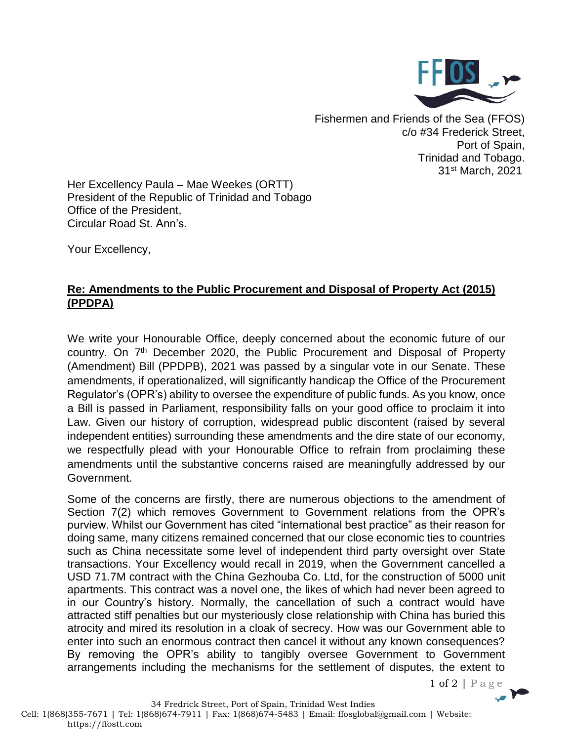

Fishermen and Friends of the Sea (FFOS) c/o #34 Frederick Street, Port of Spain, Trinidad and Tobago. 31st March, 2021

Her Excellency Paula – Mae Weekes (ORTT) President of the Republic of Trinidad and Tobago Office of the President, Circular Road St. Ann's.

Your Excellency,

## **Re: Amendments to the Public Procurement and Disposal of Property Act (2015) (PPDPA)**

We write your Honourable Office, deeply concerned about the economic future of our country. On 7<sup>th</sup> December 2020, the Public Procurement and Disposal of Property (Amendment) Bill (PPDPB), 2021 was passed by a singular vote in our Senate. These amendments, if operationalized, will significantly handicap the Office of the Procurement Regulator's (OPR's) ability to oversee the expenditure of public funds. As you know, once a Bill is passed in Parliament, responsibility falls on your good office to proclaim it into Law. Given our history of corruption, widespread public discontent (raised by several independent entities) surrounding these amendments and the dire state of our economy, we respectfully plead with your Honourable Office to refrain from proclaiming these amendments until the substantive concerns raised are meaningfully addressed by our Government.

Some of the concerns are firstly, there are numerous objections to the amendment of Section 7(2) which removes Government to Government relations from the OPR's purview. Whilst our Government has cited "international best practice" as their reason for doing same, many citizens remained concerned that our close economic ties to countries such as China necessitate some level of independent third party oversight over State transactions. Your Excellency would recall in 2019, when the Government cancelled a USD 71.7M contract with the China Gezhouba Co. Ltd, for the construction of 5000 unit apartments. This contract was a novel one, the likes of which had never been agreed to in our Country's history. Normally, the cancellation of such a contract would have attracted stiff penalties but our mysteriously close relationship with China has buried this atrocity and mired its resolution in a cloak of secrecy. How was our Government able to enter into such an enormous contract then cancel it without any known consequences? By removing the OPR's ability to tangibly oversee Government to Government arrangements including the mechanisms for the settlement of disputes, the extent to

 $1 of 2 | Page$